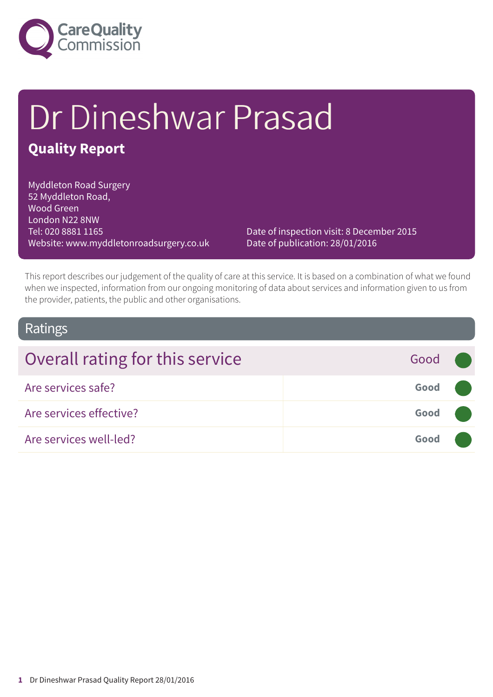

# Dr Dineshwar Prasad **Quality Report**

Myddleton Road Surgery 52 Myddleton Road, Wood Green London N22 8NW Tel: 020 8881 1165 Website: www.myddletonroadsurgery.co.uk

Date of inspection visit: 8 December 2015 Date of publication: 28/01/2016

This report describes our judgement of the quality of care at this service. It is based on a combination of what we found when we inspected, information from our ongoing monitoring of data about services and information given to us from the provider, patients, the public and other organisations.

#### Ratings

| Overall rating for this service | Good ( |  |
|---------------------------------|--------|--|
| Are services safe?              | Good   |  |
| Are services effective?         | Good   |  |
| Are services well-led?          | Good   |  |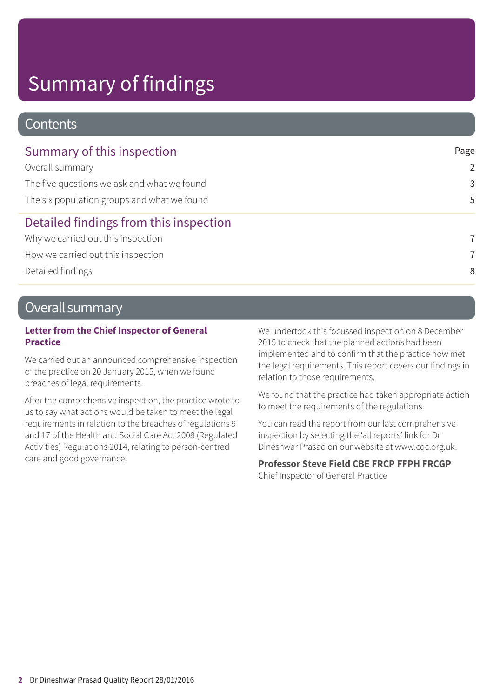### **Contents**

| Summary of this inspection                  | Page           |
|---------------------------------------------|----------------|
| Overall summary                             | $\overline{2}$ |
| The five questions we ask and what we found | 3              |
| The six population groups and what we found | 5              |
| Detailed findings from this inspection      |                |
| Why we carried out this inspection          | 7              |
| How we carried out this inspection          | $\overline{7}$ |
| Detailed findings                           | 8              |

### Overall summary

#### **Letter from the Chief Inspector of General Practice**

We carried out an announced comprehensive inspection of the practice on 20 January 2015, when we found breaches of legal requirements.

After the comprehensive inspection, the practice wrote to us to say what actions would be taken to meet the legal requirements in relation to the breaches of regulations 9 and 17 of the Health and Social Care Act 2008 (Regulated Activities) Regulations 2014, relating to person-centred care and good governance.

We undertook this focussed inspection on 8 December 2015 to check that the planned actions had been implemented and to confirm that the practice now met the legal requirements. This report covers our findings in relation to those requirements.

We found that the practice had taken appropriate action to meet the requirements of the regulations.

You can read the report from our last comprehensive inspection by selecting the 'all reports' link for Dr Dineshwar Prasad on our website at www.cqc.org.uk.

#### **Professor Steve Field CBE FRCP FFPH FRCGP**

Chief Inspector of General Practice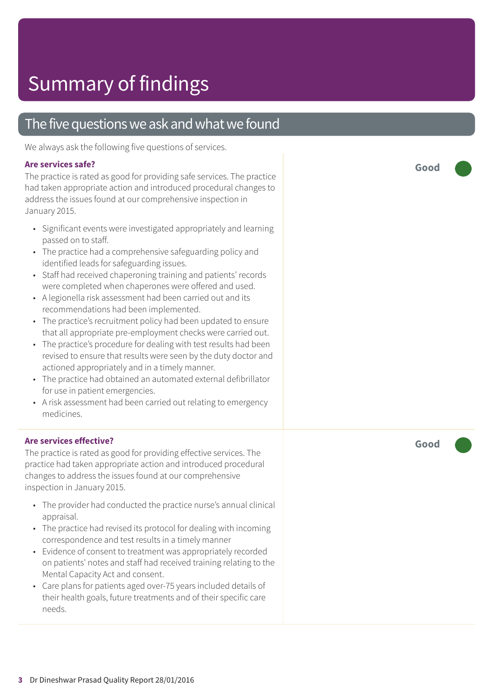### The five questions we ask and what we found

We always ask the following five questions of services.

#### **Are services safe?**

The practice is rated as good for providing safe services. The practice had taken appropriate action and introduced procedural changes to address the issues found at our comprehensive inspection in January 2015.

- Significant events were investigated appropriately and learning passed on to staff.
- The practice had a comprehensive safeguarding policy and identified leads for safeguarding issues.
- Staff had received chaperoning training and patients' records were completed when chaperones were offered and used.
- A legionella risk assessment had been carried out and its recommendations had been implemented.
- The practice's recruitment policy had been updated to ensure that all appropriate pre-employment checks were carried out.
- The practice's procedure for dealing with test results had been revised to ensure that results were seen by the duty doctor and actioned appropriately and in a timely manner.
- The practice had obtained an automated external defibrillator for use in patient emergencies.
- A risk assessment had been carried out relating to emergency medicines.

#### **Are services effective?**

The practice is rated as good for providing effective services. The practice had taken appropriate action and introduced procedural changes to address the issues found at our comprehensive inspection in January 2015.

- The provider had conducted the practice nurse's annual clinical appraisal.
- The practice had revised its protocol for dealing with incoming correspondence and test results in a timely manner
- Evidence of consent to treatment was appropriately recorded on patients' notes and staff had received training relating to the Mental Capacity Act and consent.
- Care plans for patients aged over-75 years included details of their health goals, future treatments and of their specific care needs.

**Good –––**

**Good –––**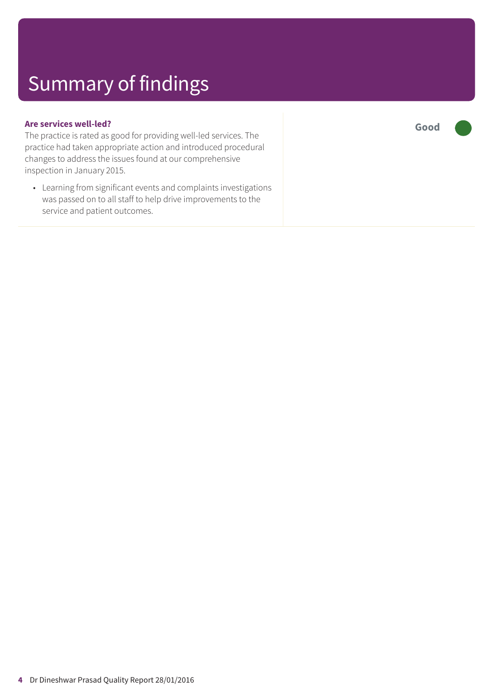#### **Are services well-led?**

The practice is rated as good for providing well-led services. The practice had taken appropriate action and introduced procedural changes to address the issues found at our comprehensive inspection in January 2015.

• Learning from significant events and complaints investigations was passed on to all staff to help drive improvements to the service and patient outcomes.

**Good –––**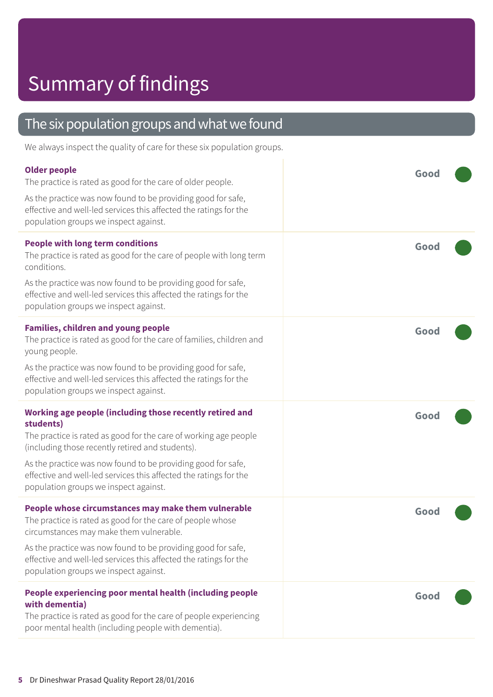| The six population groups and what we found |  |
|---------------------------------------------|--|
|                                             |  |

We always inspect the quality of care for these six population groups.

| <b>Older people</b><br>The practice is rated as good for the care of older people.<br>As the practice was now found to be providing good for safe,<br>effective and well-led services this affected the ratings for the<br>population groups we inspect against.                                                                                                            | Good |
|-----------------------------------------------------------------------------------------------------------------------------------------------------------------------------------------------------------------------------------------------------------------------------------------------------------------------------------------------------------------------------|------|
| <b>People with long term conditions</b><br>The practice is rated as good for the care of people with long term<br>conditions.<br>As the practice was now found to be providing good for safe,<br>effective and well-led services this affected the ratings for the<br>population groups we inspect against.                                                                 | Good |
| <b>Families, children and young people</b><br>The practice is rated as good for the care of families, children and<br>young people.<br>As the practice was now found to be providing good for safe,<br>effective and well-led services this affected the ratings for the<br>population groups we inspect against.                                                           | Good |
|                                                                                                                                                                                                                                                                                                                                                                             |      |
| Working age people (including those recently retired and<br>students)<br>The practice is rated as good for the care of working age people<br>(including those recently retired and students).<br>As the practice was now found to be providing good for safe,<br>effective and well-led services this affected the ratings for the<br>population groups we inspect against. | Good |
| People whose circumstances may make them vulnerable<br>The practice is rated as good for the care of people whose<br>circumstances may make them vulnerable.<br>As the practice was now found to be providing good for safe,<br>effective and well-led services this affected the ratings for the<br>population groups we inspect against.                                  | Good |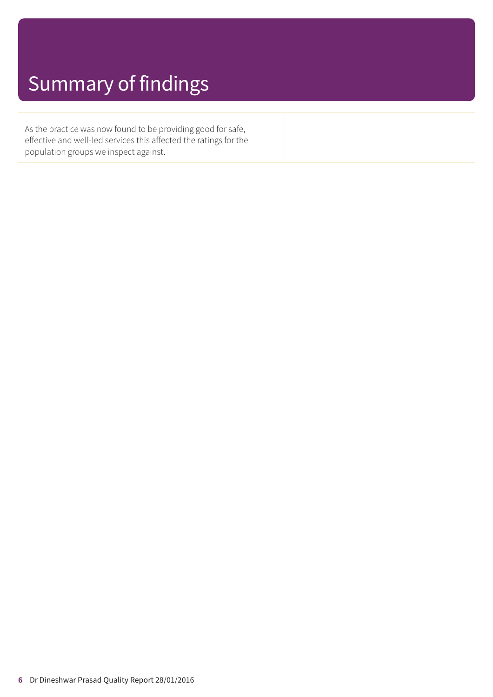As the practice was now found to be providing good for safe, effective and well-led services this affected the ratings for the population groups we inspect against.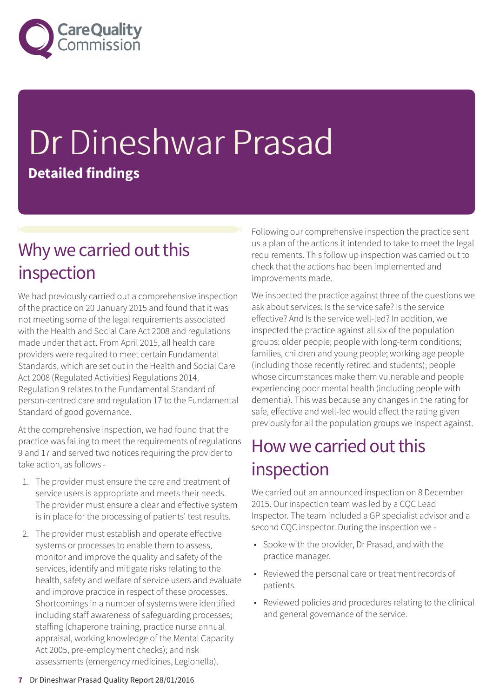

# Dr Dineshwar Prasad **Detailed findings**

### Why we carried out this inspection

We had previously carried out a comprehensive inspection of the practice on 20 January 2015 and found that it was not meeting some of the legal requirements associated with the Health and Social Care Act 2008 and regulations made under that act. From April 2015, all health care providers were required to meet certain Fundamental Standards, which are set out in the Health and Social Care Act 2008 (Regulated Activities) Regulations 2014. Regulation 9 relates to the Fundamental Standard of person-centred care and regulation 17 to the Fundamental Standard of good governance.

At the comprehensive inspection, we had found that the practice was failing to meet the requirements of regulations 9 and 17 and served two notices requiring the provider to take action, as follows -

- 1. The provider must ensure the care and treatment of service users is appropriate and meets their needs. The provider must ensure a clear and effective system is in place for the processing of patients' test results.
- 2. The provider must establish and operate effective systems or processes to enable them to assess, monitor and improve the quality and safety of the services, identify and mitigate risks relating to the health, safety and welfare of service users and evaluate and improve practice in respect of these processes. Shortcomings in a number of systems were identified including staff awareness of safeguarding processes; staffing (chaperone training, practice nurse annual appraisal, working knowledge of the Mental Capacity Act 2005, pre-employment checks); and risk assessments (emergency medicines, Legionella).

Following our comprehensive inspection the practice sent us a plan of the actions it intended to take to meet the legal requirements. This follow up inspection was carried out to check that the actions had been implemented and improvements made.

We inspected the practice against three of the questions we ask about services: Is the service safe? Is the service effective? And Is the service well-led? In addition, we inspected the practice against all six of the population groups: older people; people with long-term conditions; families, children and young people; working age people (including those recently retired and students); people whose circumstances make them vulnerable and people experiencing poor mental health (including people with dementia). This was because any changes in the rating for safe, effective and well-led would affect the rating given previously for all the population groups we inspect against.

### How we carried out this inspection

We carried out an announced inspection on 8 December 2015. Our inspection team was led by a CQC Lead Inspector. The team included a GP specialist advisor and a second CQC inspector. During the inspection we -

- Spoke with the provider, Dr Prasad, and with the practice manager.
- Reviewed the personal care or treatment records of patients.
- Reviewed policies and procedures relating to the clinical and general governance of the service.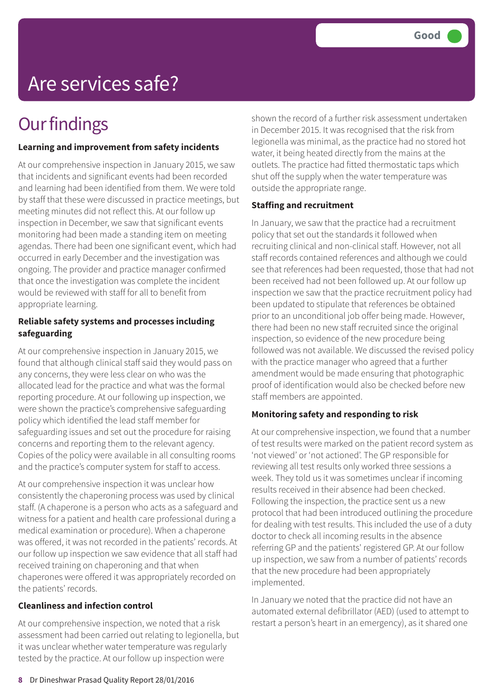# Are services safe?

## **Our findings**

#### **Learning and improvement from safety incidents**

At our comprehensive inspection in January 2015, we saw that incidents and significant events had been recorded and learning had been identified from them. We were told by staff that these were discussed in practice meetings, but meeting minutes did not reflect this. At our follow up inspection in December, we saw that significant events monitoring had been made a standing item on meeting agendas. There had been one significant event, which had occurred in early December and the investigation was ongoing. The provider and practice manager confirmed that once the investigation was complete the incident would be reviewed with staff for all to benefit from appropriate learning.

#### **Reliable safety systems and processes including safeguarding**

At our comprehensive inspection in January 2015, we found that although clinical staff said they would pass on any concerns, they were less clear on who was the allocated lead for the practice and what was the formal reporting procedure. At our following up inspection, we were shown the practice's comprehensive safeguarding policy which identified the lead staff member for safeguarding issues and set out the procedure for raising concerns and reporting them to the relevant agency. Copies of the policy were available in all consulting rooms and the practice's computer system for staff to access.

At our comprehensive inspection it was unclear how consistently the chaperoning process was used by clinical staff. (A chaperone is a person who acts as a safeguard and witness for a patient and health care professional during a medical examination or procedure). When a chaperone was offered, it was not recorded in the patients' records. At our follow up inspection we saw evidence that all staff had received training on chaperoning and that when chaperones were offered it was appropriately recorded on the patients' records.

#### **Cleanliness and infection control**

At our comprehensive inspection, we noted that a risk assessment had been carried out relating to legionella, but it was unclear whether water temperature was regularly tested by the practice. At our follow up inspection were

shown the record of a further risk assessment undertaken in December 2015. It was recognised that the risk from legionella was minimal, as the practice had no stored hot water, it being heated directly from the mains at the outlets. The practice had fitted thermostatic taps which shut off the supply when the water temperature was outside the appropriate range.

#### **Staffing and recruitment**

In January, we saw that the practice had a recruitment policy that set out the standards it followed when recruiting clinical and non-clinical staff. However, not all staff records contained references and although we could see that references had been requested, those that had not been received had not been followed up. At our follow up inspection we saw that the practice recruitment policy had been updated to stipulate that references be obtained prior to an unconditional job offer being made. However, there had been no new staff recruited since the original inspection, so evidence of the new procedure being followed was not available. We discussed the revised policy with the practice manager who agreed that a further amendment would be made ensuring that photographic proof of identification would also be checked before new staff members are appointed.

#### **Monitoring safety and responding to risk**

At our comprehensive inspection, we found that a number of test results were marked on the patient record system as 'not viewed' or 'not actioned'. The GP responsible for reviewing all test results only worked three sessions a week. They told us it was sometimes unclear if incoming results received in their absence had been checked. Following the inspection, the practice sent us a new protocol that had been introduced outlining the procedure for dealing with test results. This included the use of a duty doctor to check all incoming results in the absence referring GP and the patients' registered GP. At our follow up inspection, we saw from a number of patients' records that the new procedure had been appropriately implemented.

In January we noted that the practice did not have an automated external defibrillator (AED) (used to attempt to restart a person's heart in an emergency), as it shared one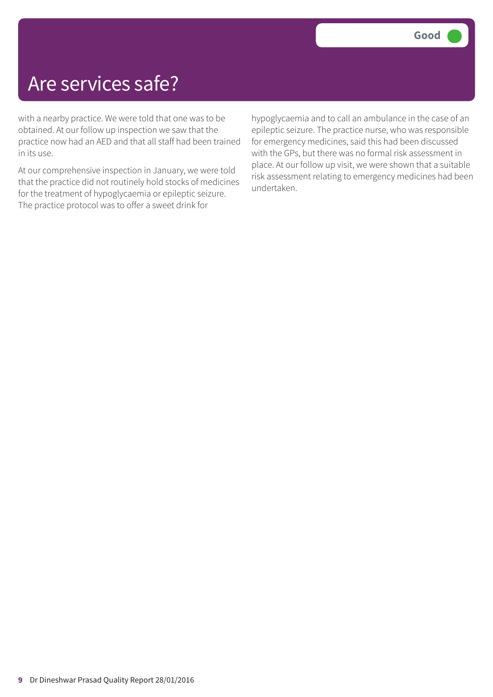## Are services safe?

with a nearby practice. We were told that one was to be obtained. At our follow up inspection we saw that the practice now had an AED and that all staff had been trained in its use.

At our comprehensive inspection in January, we were told that the practice did not routinely hold stocks of medicines for the treatment of hypoglycaemia or epileptic seizure. The practice protocol was to offer a sweet drink for

hypoglycaemia and to call an ambulance in the case of an epileptic seizure. The practice nurse, who was responsible for emergency medicines, said this had been discussed with the GPs, but there was no formal risk assessment in place. At our follow up visit, we were shown that a suitable risk assessment relating to emergency medicines had been undertaken.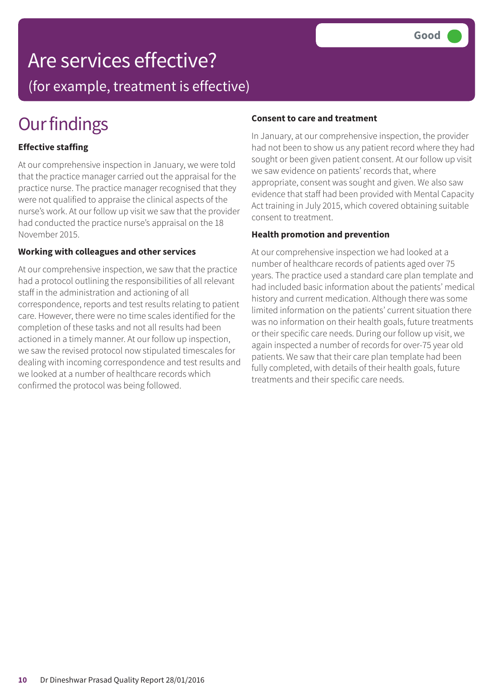## Are services effective?

(for example, treatment is effective)

# **Our findings**

#### **Effective staffing**

At our comprehensive inspection in January, we were told that the practice manager carried out the appraisal for the practice nurse. The practice manager recognised that they were not qualified to appraise the clinical aspects of the nurse's work. At our follow up visit we saw that the provider had conducted the practice nurse's appraisal on the 18 November 2015.

#### **Working with colleagues and other services**

At our comprehensive inspection, we saw that the practice had a protocol outlining the responsibilities of all relevant staff in the administration and actioning of all correspondence, reports and test results relating to patient care. However, there were no time scales identified for the completion of these tasks and not all results had been actioned in a timely manner. At our follow up inspection, we saw the revised protocol now stipulated timescales for dealing with incoming correspondence and test results and we looked at a number of healthcare records which confirmed the protocol was being followed.

#### **Consent to care and treatment**

In January, at our comprehensive inspection, the provider had not been to show us any patient record where they had sought or been given patient consent. At our follow up visit we saw evidence on patients' records that, where appropriate, consent was sought and given. We also saw evidence that staff had been provided with Mental Capacity Act training in July 2015, which covered obtaining suitable consent to treatment.

#### **Health promotion and prevention**

At our comprehensive inspection we had looked at a number of healthcare records of patients aged over 75 years. The practice used a standard care plan template and had included basic information about the patients' medical history and current medication. Although there was some limited information on the patients' current situation there was no information on their health goals, future treatments or their specific care needs. During our follow up visit, we again inspected a number of records for over-75 year old patients. We saw that their care plan template had been fully completed, with details of their health goals, future treatments and their specific care needs.